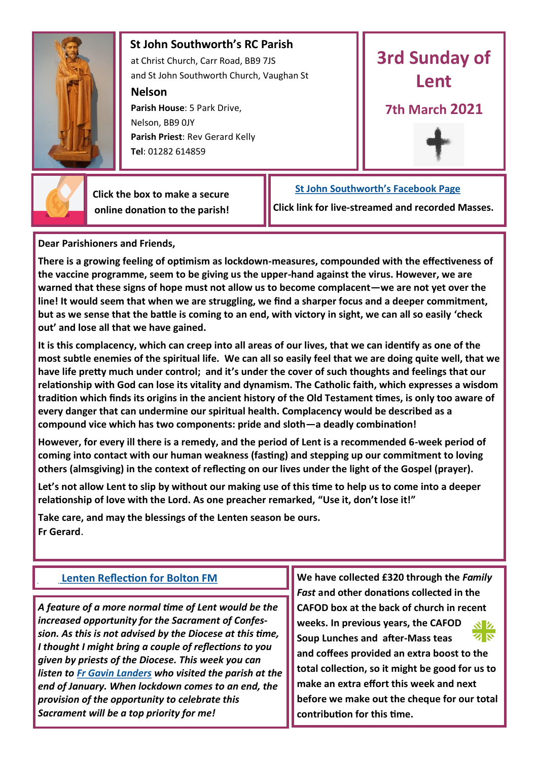

## **St John Southworth's RC Parish** at Christ Church, Carr Road, BB9 7JS

and St John Southworth Church, Vaughan St

**Nelson**

 **Parish House**: 5 Park Drive, Nelson, BB9 0JY **Parish Priest**: Rev Gerard Kelly **Tel**: 01282 614859



## **7th March 2021**





 **Click the box to make a secure online donation to the parish!**

## **[St John Southworth's Facebook Page](https://www.facebook.com/Parish-of-St-John-Southworth-in-Nelson-105718084323986)**

**Click link for live-streamed and recorded Masses.**

**Dear Parishioners and Friends,**

**There is a growing feeling of optimism as lockdown-measures, compounded with the effectiveness of the vaccine programme, seem to be giving us the upper-hand against the virus. However, we are warned that these signs of hope must not allow us to become complacent—we are not yet over the line! It would seem that when we are struggling, we find a sharper focus and a deeper commitment, but as we sense that the battle is coming to an end, with victory in sight, we can all so easily 'check out' and lose all that we have gained.**

**It is this complacency, which can creep into all areas of our lives, that we can identify as one of the most subtle enemies of the spiritual life. We can all so easily feel that we are doing quite well, that we have life pretty much under control; and it's under the cover of such thoughts and feelings that our relationship with God can lose its vitality and dynamism. The Catholic faith, which expresses a wisdom tradition which finds its origins in the ancient history of the Old Testament times, is only too aware of every danger that can undermine our spiritual health. Complacency would be described as a compound vice which has two components: pride and sloth—a deadly combination!**

**However, for every ill there is a remedy, and the period of Lent is a recommended 6-week period of coming into contact with our human weakness (fasting) and stepping up our commitment to loving others (almsgiving) in the context of reflecting on our lives under the light of the Gospel (prayer).**

**Let's not allow Lent to slip by without our making use of this time to help us to come into a deeper relationship of love with the Lord. As one preacher remarked, "Use it, don't lose it!"**

**Take care, and may the blessings of the Lenten season be ours. Fr Gerard**.

*A feature of a more normal time of Lent would be the increased opportunity for the Sacrament of Confession. As this is not advised by the Diocese at this time, I thought I might bring a couple of reflections to you given by priests of the Diocese. This week you can listen to [Fr Gavin Landers](https://youtu.be/3M05YrJ6iiU) who visited the parish at the end of January. When lockdown comes to an end, the provision of the opportunity to celebrate this Sacrament will be a top priority for me!*

**[Lenten Reflection for Bolton FM](https://drive.google.com/file/d/1V-bnHDYlG-vtqH6Rmmd1EnngKvYQBNFw/view?usp=sharing) <b>We have collected £320 through the Family** *Fast* **and other donations collected in the CAFOD box at the back of church in recent weeks. In previous years, the CAFOD**  སΣ ৰ ম **Soup Lunches and after-Mass teas and coffees provided an extra boost to the total collection, so it might be good for us to make an extra effort this week and next before we make out the cheque for our total contribution for this time.**